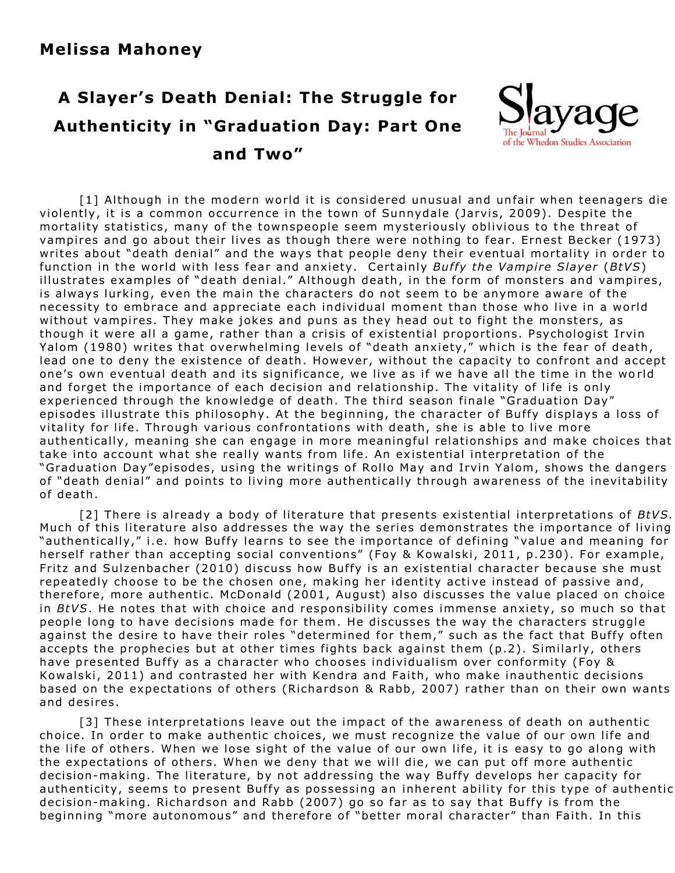## **A Slayer's Death Denial: The Struggle for Authenticity in "Graduation Day: Part One and Two"**



[1] Although in the modern world it is considered unusual and unfair when teenagers die violently, it is a common occurrence in the town of Sunnydale (Jarvis, 2009). Despite the mortality statistics, many of the townspeople seem mysteriously oblivious to the threat of vampires and go about their lives as though there were nothing to fear. Ernest Becker (1973) writes about "death denial" and the ways that people deny their eventual mortality in order to function in the world with less fear and anxiety. Certainly *Buffy the Vampire Slayer* (*BtVS*) illustrates examples of "death denial." Although death, in the form of monsters and vampires, is always lurking, even the main the characters do not seem to be anymore aware of the necessity to embrace and appreciate each individual moment than those who live in a world without vampires. They make jokes and puns as they head out to fight the monsters, as though it were all a game, rather than a crisis of existential proportions. Psychologist Irvin Yalom (1980) writes that overwhelming levels of "death anxiety," which is the fear of death, lead one to deny the existence of death. However, without the capacity to confront and accept one's own eventual death and its significance, we live as if we have all the time in the world and forget the importance of each decision and relationship. The vitality of life is only experienced through the knowledge of death. The third season finale "Graduation Day" episodes illustrate this philosophy. At the beginning, the character of Buffy displays a loss of vitality for life. Through various confrontations with death, she is able to live more authentically, meaning she can engage in more meaningful relationships and make choices that take into account what she really wants from life. An existential interpretation of the "Graduation Day"episodes, using the writings of Rollo May and Irvin Yalom, shows the dangers of "death denial" and points to living more authentically through awareness of the inevitability of death.

[2] There is already a body of literature that presents existential interpretations of *BtVS.* Much of this literature also addresses the way the series demonstrates the importance of living "authentically," i.e. how Buffy learns to see the importance of defining "value and meaning for herself rather than accepting social conventions" (Foy & Kowalski, 2011, p.230). For example, Fritz and Sulzenbacher (2010) discuss how Buffy is an existential character because she must repeatedly choose to be the chosen one, making her identity active instead of passive and, therefore, more authentic. McDonald (2001, August) also discusses the value placed on choice in *BtVS*. He notes that with choice and responsibility comes immense anxiety, so much so that people long to have decisions made for them. He discusses the way the characters struggle against the desire to have their roles "determined for them," such as the fact that Buffy often accepts the prophecies but at other times fights back against them (p.2). Similarly, others have presented Buffy as a character who chooses individualism over conformity (Foy & Kowalski, 2011) and contrasted her with Kendra and Faith, who make inauthentic decisions based on the expectations of others (Richardson & Rabb, 2007) rather than on their own wants and desires.

[3] These interpretations leave out the impact of the awareness of death on authentic choice. In order to make authentic choices, we must recognize the value of our own life and the life of others. When we lose sight of the value of our own life, it is easy to go along with the expectations of others. When we deny that we will die, we can put off more authentic decision-making. The literature, by not addressing the way Buffy develops her capacity for authenticity, seems to present Buffy as possessing an inherent ability for this type of authentic decision-making. Richardson and Rabb (2007) go so far as to say that Buffy is from the beginning "more autonomous" and therefore of "better moral character" than Faith. In this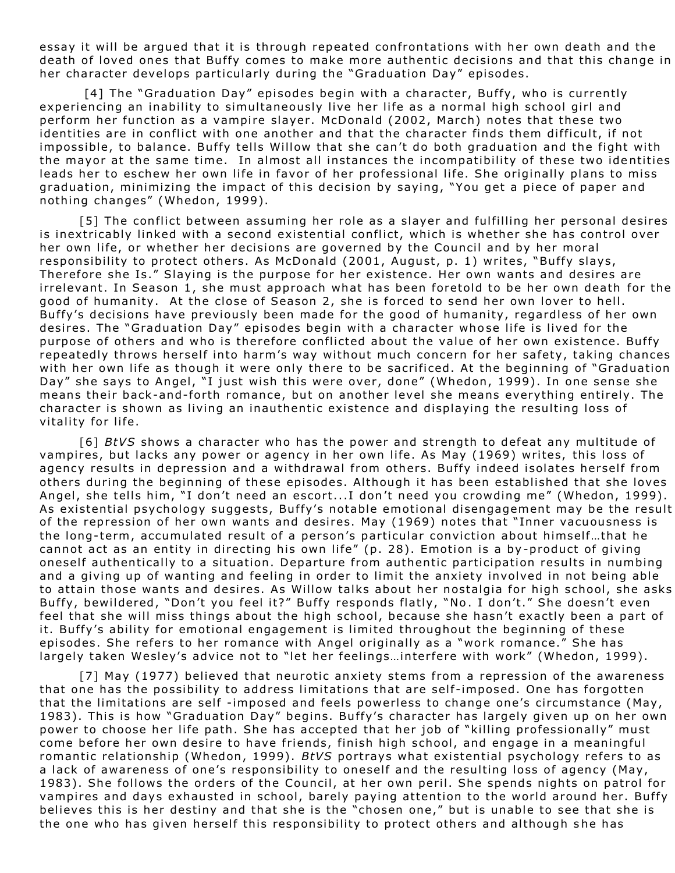essay it will be argued that it is through repeated confrontations with her own death and the death of loved ones that Buffy comes to make more authentic decisions and that this change in her character develops particularly during the "Graduation Day" episodes.

[4] The "Graduation Day" episodes begin with a character, Buffy, who is currently experiencing an inability to simultaneously live her life as a normal high school girl and perform her function as a vampire slayer. McDonald (2002, March) notes that these two identities are in conflict with one another and that the character finds them difficult, if not impossible, to balance. Buffy tells Willow that she can't do both graduation and the fight with the mayor at the same time. In almost all instances the incompatibility of these two identities leads her to eschew her own life in favor of her professional life. She originally plans to miss graduation, minimizing the impact of this decision by saying, "You get a piece of paper and nothing changes" (Whedon, 1999).

[5] The conflict between assuming her role as a slaver and fulfilling her personal desires is inextricably linked with a second existential conflict, which is whether she has control over her own life, or whether her decisions are governed by the Council and by her moral responsibility to protect others. As McDonald (2001, August, p. 1) writes, "Buffy slays, Therefore she Is." Slaying is the purpose for her existence. Her own wants and desires are irrelevant. In Season 1, she must approach what has been foretold to be her own death for the good of humanity. At the close of Season 2, she is forced to send her own lover to hell. Buffy's decisions have previously been made for the good of humanity, regardless of her own desires. The "Graduation Day" episodes begin with a character whose life is lived for the purpose of others and who is therefore conflicted about the value of her own existence. Buffy repeatedly throws herself into harm's way without much concern for her safety, taking chances with her own life as though it were only there to be sacrificed. At the beginning of "Graduation Day" she says to Angel, "I just wish this were over, done" (Whedon, 1999). In one sense she means their back-and-forth romance, but on another level she means everything entirely. The character is shown as living an inauthentic existence and displaying the resulting loss of vitality for life.

[6] *BtVS* shows a character who has the power and strength to defeat any multitude of vampires, but lacks any power or agency in her own life. As May (1969) writes, this loss of agency results in depression and a withdrawal from others. Buffy indeed isolates herself from others during the beginning of these episodes. Although it has been established that she loves Angel, she tells him, "I don't need an escort...I don't need you crowding me" (Whedon, 1999). As existential psychology suggests, Buffy's notable emotional disengagement may be the result of the repression of her own wants and desires. May (1969) notes that "Inner vacuousness is the long-term, accumulated result of a person's particular conviction about himself...that he cannot act as an entity in directing his own life" (p. 28). Emotion is a by-product of giving oneself authentically to a situation. Departure from authentic participation results in numbing and a giving up of wanting and feeling in order to limit the anxiety involved in not being able to attain those wants and desires. As Willow talks about her nostalgia for high school, she asks Buffy, bewildered, "Don't you feel it?" Buffy responds flatly, "No. I don't." She doesn't even feel that she will miss things about the high school, because she hasn't exactly been a part of it. Buffy's ability for emotional engagement is limited throughout the beginning of these episodes. She refers to her romance with Angel originally as a "work romance." She has largely taken Wesley's advice not to "let her feelings...interfere with work" (Whedon, 1999).

[7] May (1977) believed that neurotic anxiety stems from a repression of the awareness that one has the possibility to address limitations that are self-imposed. One has forgotten that the limitations are self -imposed and feels powerless to change one's circumstance (May, 1983). This is how "Graduation Day" begins. Buffy's character has largely given up on her own power to choose her life path. She has accepted that her job of "killing professionally" must come before her own desire to have friends, finish high school, and engage in a meaningful romantic relationship (Whedon, 1999). *BtVS* portrays what existential psychology refers to as a lack of awareness of one's responsibility to oneself and the resulting loss of agency (May, 1983). She follows the orders of the Council, at her own peril. She spends nights on patrol for vampires and days exhausted in school, barely paying attention to the world around her. Buffy believes this is her destiny and that she is the "chosen one," but is unable to see that she is the one who has given herself this responsibility to protect others and although she has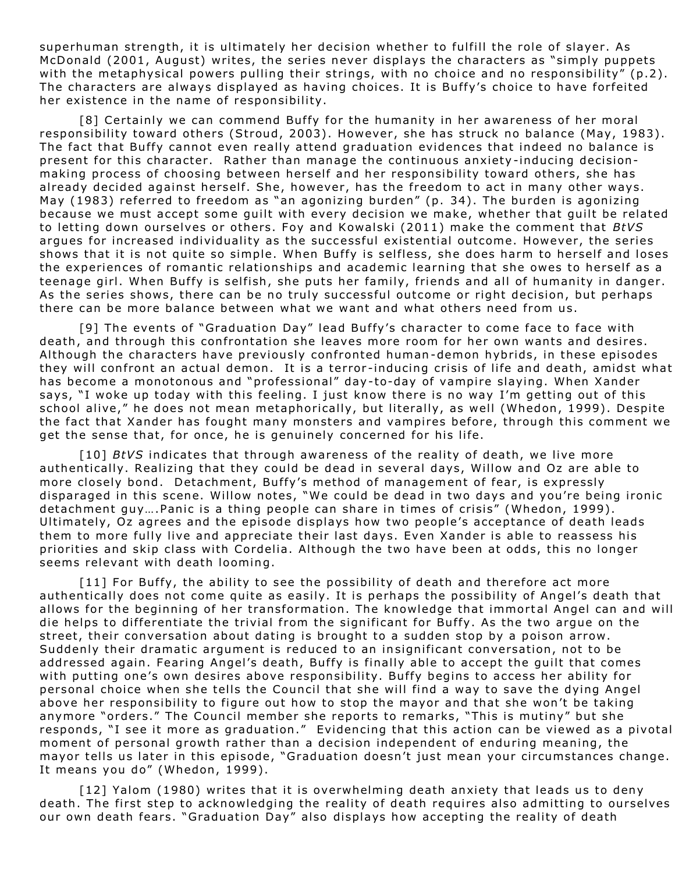superhuman strength, it is ultimately her decision whether to fulfill the role of slayer. As McDonald (2001, August) writes, the series never displays the characters as "simply puppets with the metaphysical powers pulling their strings, with no choice and no responsibility" (p.2). The characters are always displayed as having choices. It is Buffy's choice to have forfeited her existence in the name of responsibility.

[8] Certainly we can commend Buffy for the humanity in her awareness of her moral responsibility toward others (Stroud, 2003). However, she has struck no balance (May, 1983). The fact that Buffy cannot even really attend graduation evidences that indeed no balance is present for this character. Rather than manage the continuous anxiety-inducing decisionmaking process of choosing between herself and her responsibility toward others, she has already decided against herself. She, however, has the freedom to act in many other ways. May (1983) referred to freedom as "an agonizing burden" (p. 34). The burden is agonizing because we must accept some quilt with every decision we make, whether that quilt be related to letting down ourselves or others. Foy and Kowalski (2011) make the comment that *BtVS* argues for increased individuality as the successful existential outcome. However, the series shows that it is not quite so simple. When Buffy is selfless, she does harm to herself and loses the experiences of romantic relationships and academic learning that she owes to herself as a teenage girl. When Buffy is selfish, she puts her family, friends and all of humanity in danger. As the series shows, there can be no truly successful outcome or right decision, but perhaps there can be more balance between what we want and what others need from us.

[9] The events of "Graduation Day" lead Buffy's character to come face to face with death, and through this confrontation she leaves more room for her own wants and desires. Although the characters have previously confronted human-demon hybrids, in these episodes they will confront an actual demon. It is a terror-inducing crisis of life and death, amidst what has become a monotonous and "professional" day-to-day of vampire slaying. When Xander says, "I woke up today with this feeling. I just know there is no way I'm getting out of this school alive," he does not mean metaphorically, but literally, as well (Whedon, 1999). Despite the fact that Xander has fought many monsters and vampires before, through this comment we get the sense that, for once, he is genuinely concerned for his life.

[10] *BtVS* indicates that through awareness of the reality of death, we live more authentically. Realizing that they could be dead in several days, Willow and Oz are able to more closely bond. Detachment, Buffy's method of management of fear, is expressly disparaged in this scene. Willow notes, "We could be dead in two days and you're being ironic detachment guy.... Panic is a thing people can share in times of crisis" (Whedon, 1999). Ultimately, Oz agrees and the episode displays how two people's acceptance of death leads them to more fully live and appreciate their last days. Even Xander is able to reassess his priorities and skip class with Cordelia. Although the two have been at odds, this no longer seems relevant with death looming.

 $[11]$  For Buffy, the ability to see the possibility of death and therefore act more authentically does not come quite as easily. It is perhaps the possibility of Angel's death that allows for the beginning of her transformation. The knowledge that immortal Angel can and will die helps to differentiate the trivial from the significant for Buffy. As the two argue on the street, their conversation about dating is brought to a sudden stop by a poison arrow. Suddenly their dramatic argument is reduced to an insignificant conversation, not to be addressed again. Fearing Angel's death, Buffy is finally able to accept the guilt that comes with putting one's own desires above responsibility. Buffy begins to access her ability for personal choice when she tells the Council that she will find a way to save the dying Angel above her responsibility to figure out how to stop the mayor and that she won't be taking anymore "orders." The Council member she reports to remarks, "This is mutiny" but she responds, "I see it more as graduation." Evidencing that this action can be viewed as a pivotal moment of personal growth rather than a decision independent of enduring meaning, the mayor tells us later in this episode, "Graduation doesn't just mean your circumstances change. It means you do" (Whedon, 1999).

[12] Yalom (1980) writes that it is overwhelming death anxiety that leads us to deny death. The first step to acknowledging the reality of death requires also admitting to ourselves our own death fears. "Graduation Day" also displays how accepting the reality of death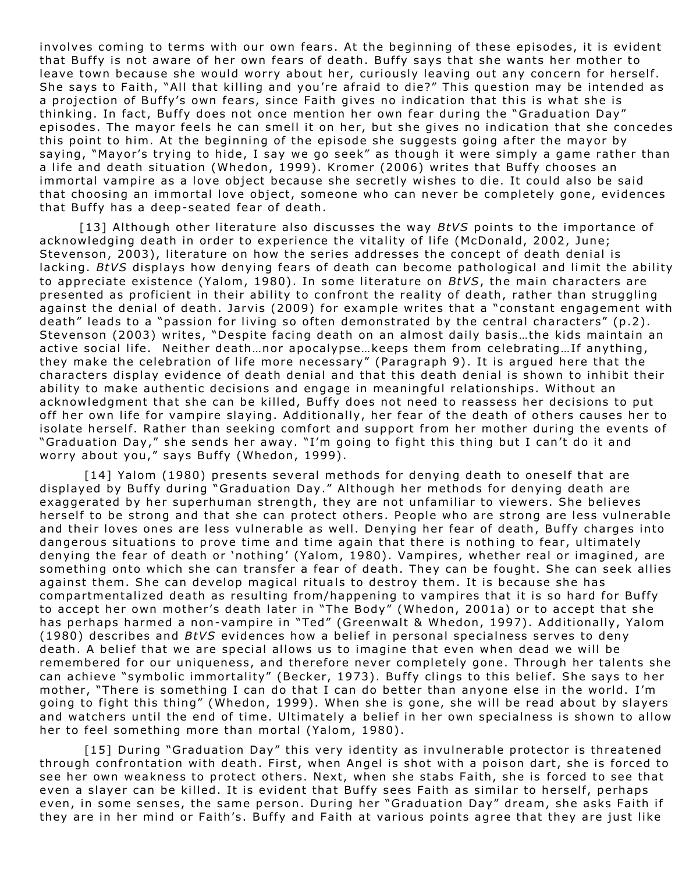involves coming to terms with our own fears. At the beginning of these episodes, it is evident that Buffy is not aware of her own fears of death. Buffy says that she wants her mother to leave town because she would worry about her, curiously leaving out any concern for herself. She says to Faith, "All that killing and you're afraid to die?" This question may be intended as a projection of Buffy's own fears, since Faith gives no indication that this is what she is thinking. In fact, Buffy does not once mention her own fear during the "Graduation Day" episodes. The mayor feels he can smell it on her, but she gives no indication that she concedes this point to him. At the beginning of the episode she suggests going after the mayor by saying, "Mayor's trying to hide, I say we go seek" as though it were simply a game rather than a life and death situation (Whedon, 1999). Kromer (2006) writes that Buffy chooses an immortal vampire as a love object because she secretly wishes to die. It could also be said that choosing an immortal love object, someone who can never be completely gone, evidences that Buffy has a deep-seated fear of death.

[13] Although other literature also discusses the way *BtVS* points to the importance of acknowledging death in order to experience the vitality of life (McDonald, 2002, June; Stevenson, 2003), literature on how the series addresses the concept of death denial is lacking. *BtVS* displays how denying fears of death can become pathological and limit the ability to appreciate existence (Yalom, 1980). In some literature on *BtVS*, the main characters are presented as proficient in their ability to confront the reality of death, rather than struggling against the denial of death. Jarvis (2009) for example writes that a "constant engagement with death" leads to a "passion for living so often demonstrated by the central characters" (p.2). Stevenson (2003) writes, "Despite facing death on an almost daily basis...the kids maintain an active social life. Neither death…nor apocalypse…keeps them from celebrating… If anything, they make the celebration of life more necessary" (Paragraph 9). It is argued here that the characters display evidence of death denial and that this death denial is shown to inhibit their ability to make authentic decisions and engage in meaningful relationships. Without an acknowledgment that she can be killed, Buffy does not need to reassess her decisions to put off her own life for vampire slaying. Additionally, her fear of the death of others causes her to isolate herself. Rather than seeking comfort and support from her mother during the events of "Graduation Day," she sends her away. "I'm going to fight this thing but I can't do it and worry about you," says Buffy (Whedon, 1999).

 $[14]$  Yalom (1980) presents several methods for denying death to oneself that are displayed by Buffy during "Graduation Day." Although her methods for denying death are exaggerated by her superhuman strength, they are not unfamiliar to viewers. She believes herself to be strong and that she can protect others. People who are strong are less vulnerable and their loves ones are less vulnerable as well. Denying her fear of death, Buffy charges into dangerous situations to prove time and time again that there is nothing to fear, ultimately denying the fear of death or 'nothing' (Yalom, 1980). Vampires, whether real or imagined, are something onto which she can transfer a fear of death. They can be fought. She can seek allies against them. She can develop magical rituals to destroy them. It is because she has compartmentalized death as resulting from/happening to vampires that it is so hard for Buffy to accept her own mother's death later in "The Body" (Whedon, 2001a) or to accept that she has perhaps harmed a non-vampire in "Ted" (Greenwalt & Whedon, 1997). Additionally, Yalom (1980) describes and *BtVS* evidences how a belief in personal specialness serves to deny death. A belief that we are special allows us to imagine that even when dead we will be remembered for our uniqueness, and therefore never completely gone. Through her talents she can achieve " symbolic immortality" (Becker, 1973). Buffy clings to this belief. She says to her mother, "There is something I can do that I can do better than anyone else in the world. I'm going to fight this thing" (Whedon, 1999). When she is gone, she will be read about by slayers and wat chers until the end of time. Ultimately a belief in her own specialness is shown to allow her to feel something more than mortal (Yalom, 1980).

[15] During "Graduation Day" this very identity as invulnerable protector is threatened through confrontation with death. First, when Angel is shot with a poison dart, she is forced to see her own weakness to protect others. Next, when she stabs Faith, she is forced to see that even a slayer can be killed. It is evident that Buffy sees Faith as similar to herself, perhaps even, in some senses, the same person. During her "Graduation Day" dream, she asks Faith if they are in her mind or Faith's. Buffy and Faith at various points agree that they are just like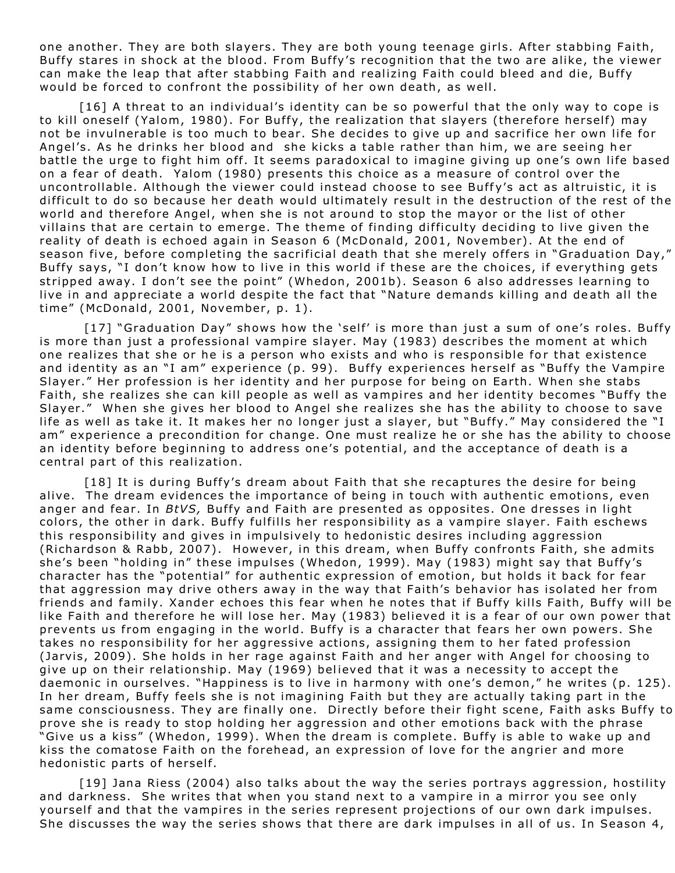one another. They are both slayers. They are both young teenage girls. After stabbing Faith, Buffy stares in shock at the blood. From Buffy's recognition that the two are alike, the viewer can make the leap that after stabbing Faith and realizing Faith could bleed and die, Buffy would be forced to confront the possibility of her own death, as well.

 $[16]$  A threat to an individual's identity can be so powerful that the only way to cope is to kill oneself (Yalom, 1980). For Buffy, the realization that slayers (therefore herself) may not be invulnerable is too much to bear. She decides to give up and sacrifice her own life for Angel's. As he drinks her blood and she kicks a table rather than him, we are seeing her battle the urge to fight him off. It seems paradoxical to imagine giving up one's own life based on a fear of death. Yalom (1980) presents this choice as a measure of control over the uncontrollable. Although the viewer could instead choose to see Buffy's act as altruistic, it is difficult to do so because her death would ultimately result in the destruction of the rest of the world and therefore Angel, when she is not around to stop the mayor or the list of other villains that are certain to emerge. The theme of finding difficulty deciding to live given the reality of death is echoed again in Season 6 (McDonald, 2001, November). At the end of season five, before completing the sacrificial death that she merely offers in "Graduation Day," Buffy says, "I don't know how to live in this world if these are the choices, if everything gets stripped away. I don't see the point" (Whedon, 2001b). Season 6 also addresses learning to live in and appreciate a world despite the fact that "Nature demands killing and death all the time" (McDonald, 2001, November, p. 1).

[17] "Graduation Day" shows how the 'self' is more than just a sum of one's roles. Buffy is more than just a professional vampire slayer. May (1983) describes the moment at which one realizes that she or he is a person who exists and who is responsible for that existence and identity as an "I am" experience (p. 99). Buffy experiences herself as "Buffy the Vampire Slayer." Her profession is her identity and her purpose for being on Earth. When she stabs Faith, she realizes she can kill people as well as vampires and her identity becomes "Buffy the Slayer." When she gives her blood to Angel she realizes she has the ability to choose to save life as well as take it. It makes her no longer just a slayer, but "Buffy." May considered the "I am" experience a precondition for change. One must realize he or she has the ability to choose an identity before beginning to address one's potential, and the acceptance of death is a central part of this realization.

[18] It is during Buffy's dream about Faith that she recaptures the desire for being alive. The dream evidences the importance of being in touch with authentic emotions, even anger and fear. In *BtVS*, Buffy and Faith are presented as opposites. One dresses in light colors, the other in dark. Buffy fulfills her responsibility as a vampire slayer. Faith eschews this responsibility and gives in impulsively to hedonistic desires including aggression (Richardson & Rabb, 2007). However, in this dream, when Buffy confronts Faith, she admits she's been "holding in" these impulses (Whedon, 1999). May (1983) might say that Buffy's character has the "potential" for authentic expression of emotion, but holds it back for fear that aggression may drive others away in the way that Faith's behavior has isolated her from friends and family. Xander echoes this fear when he notes that if Buffy kills Faith, Buffy will be like Faith and therefore he will lose her. May (1983) believed it is a fear of our own power that prevents us from engaging in the world. Buffy is a character that fears her own powers. She takes no responsibility for her aggressive actions, assigning them to her fated profession (Jarvis, 2009). She holds in her rage against Faith and her anger with Angel for choosing to give up on their relationship. May (1969) believed that it was a necessity to accept the daemonic in ourselves. "Happiness is to live in harmony with one's demon," he writes (p. 125). In her dream, Buffy feels she is not imagining Faith but they are actually taking part in the same consciousness. They are finally one. Directly before their fight scene, Faith asks Buffy to prove she is ready to stop holding her aggression and other emotions back with the phrase "Give us a kiss" (Whedon, 1999). When the dream is complete. Buffy is able to wake up and kiss the comatose Faith on the forehead, an expression of love for the angrier and more hedonistic parts of herself.

[19] Jana Riess (2004) also talks about the way the series portrays aggression, hostility and darkness. She writes that when you stand next to a vampire in a mirror you see only yourself and that the vampires in the series represent projections of our own dark impulses. She discusses the way the series shows that there are dark impulses in all of us. In Season 4,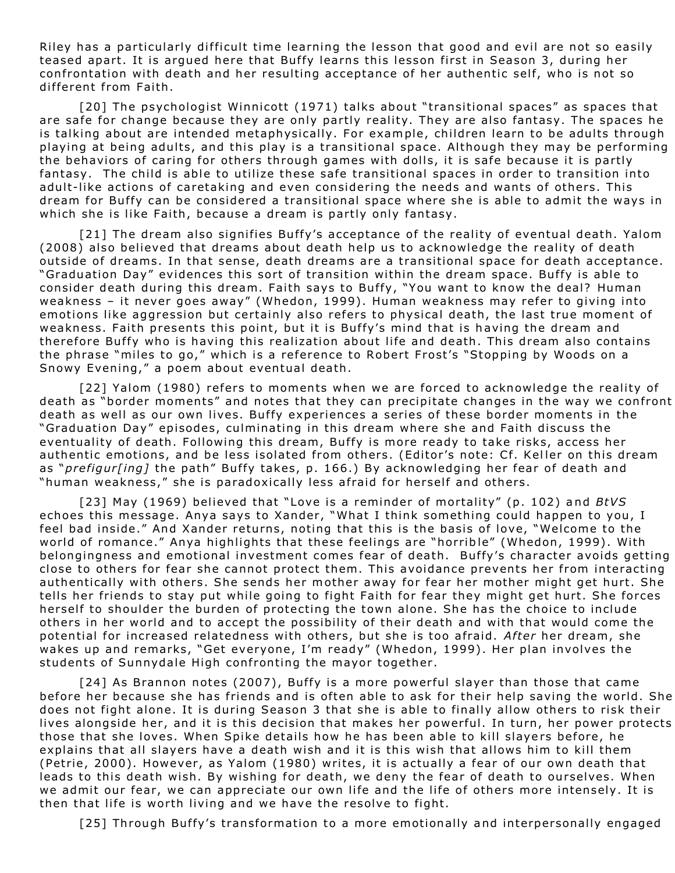Riley has a particularly difficult time learning the lesson that good and evil are not so easily teased apart. It is argued here that Buffy learns this lesson first in Season 3, during her confrontation with death and her resulting acceptance of her authentic self, who is not so different from Faith.

[20] The psychologist Winnicott (1971) talks about "transitional spaces" as spaces that are safe for change because they are only partly reality. They are also fantasy. The spaces he is talking about are intended metaphysically. For example, children learn to be adults through playing at being adults, and this play is a transitional space. Although they may be performing the behaviors of caring for others through games with dolls, it is safe because it is partly fantasy. The child is able to utilize these safe transitional spaces in order to transition into adult-like actions of caretaking and even considering the needs and wants of others. This dream for Buffy can be considered a transitional space where she is able to admit the ways in which she is like Faith, because a dream is partly only fantasy.

[21] The dream also signifies Buffy's acceptance of the reality of eventual death. Yalom (2008) also believed that dreams about death help us to acknowledge the reality of death outside of dreams. In that sense, death dreams are a transitional space for death acceptance. "Graduation Day" evidences this sort of transition within the dream space. Buffy is able to consider death during this dream. Faith says to Buffy, "You want to know the deal? Human weakness - it never goes away" (Whedon, 1999). Human weakness may refer to giving into emotions like aggression but certainly also refers to physical death, the last true moment of weakness. Faith presents this point, but it is Buffy's mind that is having the dream and therefore Buffy who is having this realization about life and death. This dream also contains the phrase "miles to go," which is a reference to Robert Frost's "Stopping by Woods on a Snowy Evening," a poem about eventual death.

[22] Yalom (1980) refers to moments when we are forced to acknowledge the reality of death as "border moments" and notes that they can precipitate changes in the way we confront death as well as our own lives. Buffy experiences a series of these border moments in the "Graduation Day" episodes, culminating in this dream where she and Faith discuss the eventuality of death. Following this dream, Buffy is more ready to take risks, access her authentic emotions, and be less isolated from others. (Editor's note: Cf. Keller on this dream as "*prefigur[ing]* the path" Buffy takes, p. 166.) By acknowledging her fear of death and "human weakness," she is paradoxically less afraid for herself and others.

[23] May (1969) believed that "Love is a reminder of mortality" (p. 102) and *BtVS* echoes this message. Anya says to Xander, "What I think something could happen to you, I feel bad inside." And Xander returns, noting that this is the basis of love, "Welcome to the world of romance." Anya highlights that these feelings are "horrible" (Whedon, 1999). With belongingness and emotional investment comes fear of death. Buffy's character avoids getting close to others for fear she cannot protect them. This avoidance prevents her from interacting authentically with others. She sends her mother away for fear her mother might get hurt. She tells her friends to stay put while going to fight Faith for fear they might get hurt. She forces herself to shoulder the burden of protecting the town alone. She has the choice to include others in her world and to accept the possibility of their death and with that would come the potential for increased relatedness with others, but she is too afraid. After her dream, she wakes up and remarks, "Get everyone, I'm ready" (Whedon, 1999). Her plan involves the students of Sunnydale High confronting the mayor together.

[24] As Brannon notes (2007), Buffy is a more powerful slayer than those that came before her because she has friends and is often able to ask for their help saving the world. She does not fight alone. It is during Season 3 that she is able to finally allow others to risk their lives along side her, and it is this decision that makes her powerful. In turn, her power protects those that she loves. When Spike details how he has been able to kill slayers before, he explains that all slayers have a death wish and it is this wish that allows him to kill them (Petrie, 2000). However, as Yalom (1980) writes, it is actually a fear of our own death that leads to this death wish. By wishing for death, we deny the fear of death to ourselves. When we admit our fear, we can appreciate our own life and the life of others more intensely. It is then that life is worth living and we have the resolve to fight.

[25] Through Buffy's transformation to a more emotionally and interpersonally engaged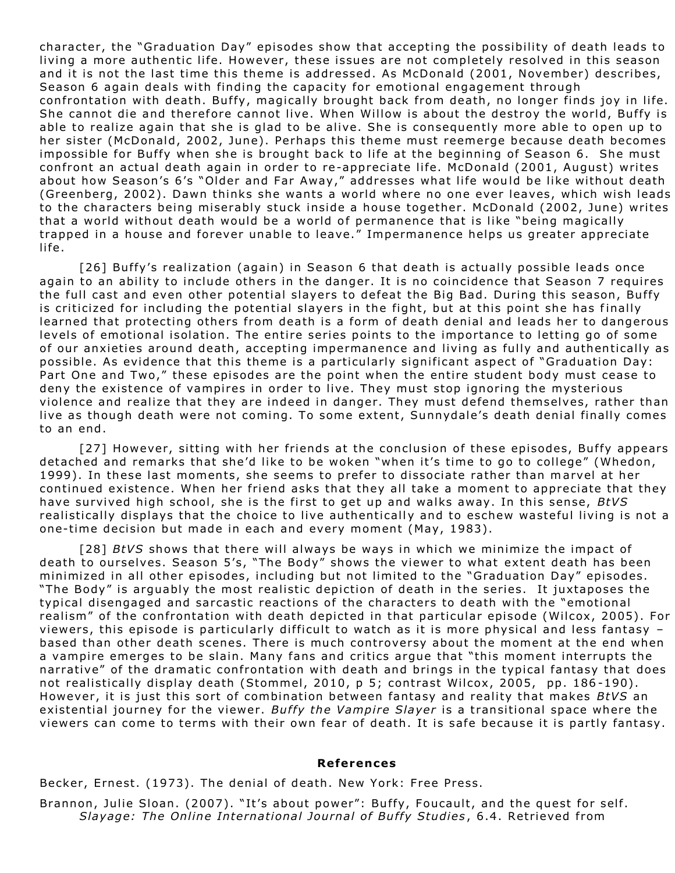character, the "Graduation Day" episodes show that accepting the possibility of death leads to living a more authentic life. However, these issues are not completely resolved in this season and it is not the last time this theme is addressed. As McDonald (2001, November) describes, Season 6 again deals with finding the capacity for emotional engagement through confrontation with death. Buffy, magically brought back from death, no longer finds joy in life. She cannot die and therefore cannot live. When Willow is about the destroy the world, Buffy is able to realize again that she is glad to be alive. She is consequently more able to open up to her sister (McDonald, 2002, June). Perhaps this theme must reemerge because death becomes impossible for Buffy when she is brought back to life at the beginning of Season 6. She must confront an actual death again in order to re-appreciate life. McDonald (2001, August) writes about how Season's 6's "Older and Far Away," addresses what life would be like without death (Greenberg, 2002). Dawn thinks she wants a world where no one ever leaves, which wish leads to the characters being miserably stuck inside a house together. McDonald (2002, June) writes that a world without death would be a world of permanence that is like "being magically trapped in a house and forever unable to leave." Impermanence helps us greater appreciate li fe .

[26] Buffy's realization (again) in Season 6 that death is actually possible leads once again to an ability to include others in the danger. It is no coincidence that Season 7 requires the full cast and even other potential slayers to defeat the Big Bad. During this season, Buffy is criticized for including the potential slayers in the fight, but at this point she has finally learned that protecting others from death is a form of death denial and leads her to dangerous levels of emotional isolation. The entire series points to the importance to letting go of some of our anxieties around death, accepting impermanence and living as fully and authentically as possible. As evidence that this theme is a particularly significant aspect of "Graduation Day: Part One and Two," these episodes are the point when the entire student body must cease to deny the existence of vampires in order to live. They must stop ignoring the mysterious violence and realize that they are indeed in danger. They must defend themselves, rather than live as though death were not coming. To some extent, Sunnydale's death denial finally comes to an end .

[27] However, sitting with her friends at the conclusion of these episodes, Buffy appears detached and remarks that she'd like to be woken "when it's time to go to college" (Whedon, 1999). In these last moments, she seems to prefer to dissociate rather than marvel at her continued existence. When her friend asks that they all take a moment to appreciate that they have survived high school, she is the first to get up and walks away. In this sense, *BtVS* realistically displays that the choice to live authentically and to eschew wasteful living is not a one-time decision but made in each and every moment (May, 1983).

[28] *BtVS* shows that there will always be ways in which we minimize the impact of death to ourselves. Season 5's, "The Body" shows the viewer to what extent death has been minimized in all other episodes, including but not limited to the "Graduation Day" episodes. "The Body" is arguably the most realistic depiction of death in the series. It juxtaposes the typical disengaged and sarcastic reactions of the characters to death with the "emotional realism" of the confrontation with death depicted in that particular episode (Wilcox, 2005). For viewers, this episode is particularly difficult to watch as it is more physical and less fantasy  $$ based than other death scenes. There is much controversy about the moment at the end when a vampire emerges to be slain. Many fans and critics argue that "this moment interrupts the narrative" of the dramatic confrontation with death and brings in the typical fantasy that does not realistically display death (Stommel, 2010, p 5; contrast Wilcox, 2005, pp. 186-190). However, it is just this sort of combination between fantasy and reality that makes *BtVS* an existential journey for the viewer. *Buffy the Vampire Slayer* is a transitional space where the viewers can come to terms with their own fear of death. It is safe because it is partly fantasy.

## **Re ferences**

Becker, Ernest. (1973). The denial of death. New York: Free Press.

Brannon, Julie Sloan. (2007). "It's about power": Buffy, Foucault, and the quest for self. *Slayage: The Online International Journal of Buffy Studies, 6.4. Retrieved from*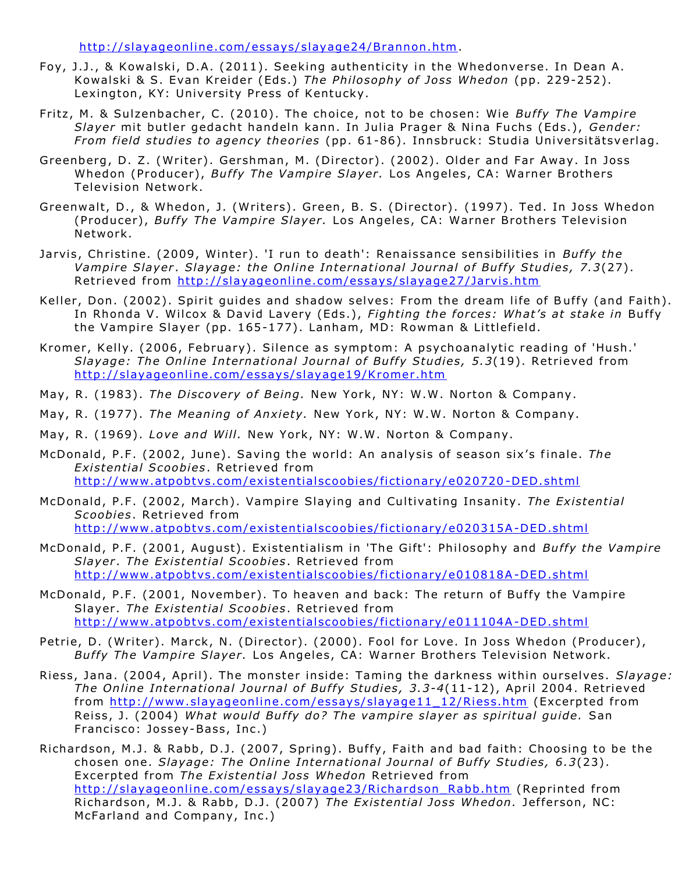http://slayageonline.com/essays/slayage24/Brannon.htm.

- Foy, J.J., & Kowalski, D.A. (2011). Seeking authenticity in the Whedonverse. In Dean A. Kowalski & S. Evan Kreider (Eds.) The Philosophy of Joss Whedon (pp. 229-252). Lexington, KY: University Press of Kentucky.
- Fritz, M. & Sulzenbacher, C. (2010). The choice, not to be chosen: Wie Buffy The Vampire *Slayer* mit butler gedacht handeln kann. In Julia Prager & Nina Fuchs (Eds.), *Gender: From field studies to agency theories* (pp. 61-86). Innsbruck: Studia Universitätsverlag.
- Greenberg, D. Z. (Writer). Gershman, M. (Director). (2002). Older and Far Away. In Joss Whedon (Producer), *Buffy The Vampire Slayer*. Los Angeles, CA: Warner Brothers Television Network.
- Greenwalt, D., & Whedon, J. (Writers). Green, B. S. (Director). (1997). Ted. In Joss Whedon (Producer), *Buffy The Vampire Slayer.* Los Angeles, CA: Warner Brothers Television Network.
- Jarvis, Christine. (2009, Winter). 'I run to death': Renaissance sensibilities in *Buffy the Vampire Slayer. Slayage: the Online International Journal of Buffy Studies, 7.3(27).* Retrieved from http://slayageonline.com/essays/slayage27/Jarvis.htm
- Keller, Don. (2002). Spirit guides and shadow selves: From the dream life of Buffy (and Faith). In Rhonda V. Wilcox & David Lavery (Eds.), Fighting the forces: What's at stake in Buffy the Vampire Slayer (pp. 165-177). Lanham, MD: Rowman & Littlefield.
- Kromer, Kelly. (2006, February). Silence as symptom: A psychoanalytic reading of 'Hush.' *Slayage: The Online International Journal of Buffy Studies, 5.3(19). Retrieved from* http://slayageonline.com/essays/slayage19/Kromer.htm
- May, R. (1983). The Discovery of Being. New York, NY: W.W. Norton & Company.
- May, R. (1977). The Meaning of Anxiety. New York, NY: W.W. Norton & Company.
- May, R. (1969). *Love and Will.* New York, NY: W.W. Norton & Company.
- McDonald, P.F. (2002, June). Saving the world: An analysis of season six's finale. The *Exi sten tial S coobies*. Ret rieved from http://www.atpobtvs.com/existentialscoobies/fictionary/e020720-DED.shtml
- McDonald, P.F. (2002, March). Vampire Slaying and Cultivating Insanity. The Existential *Scoobies*. Ret rieved from http://www.atpobtvs.com/existentialscoobies/fictionary/e020315A-DED.shtml
- McDonald, P.F. (2001, August). Existentialism in 'The Gift': Philosophy and *Buffy the Vampire* Slayer. The Existential Scoobies. Retrieved from http://www.atpobtvs.com/existentialscoobies/fictionary/e010818A-DED.shtml
- McDonald, P.F. (2001, November). To heaven and back: The return of Buffy the Vampire Slayer. *The Existential Scoobies*. Retrieved from http://www.atpobtvs.com/existentialscoobies/fictionary/e011104A-DED.shtml
- Petrie, D. (Writer). Marck, N. (Director). (2000). Fool for Love. In Joss Whedon (Producer), Buffy The Vampire Slayer. Los Angeles, CA: Warner Brothers Television Network.
- Riess, Jana. (2004, April). The monster inside: Taming the darkness within ourselves. Slayage: *The Online International Journal of Buffy Studies, 3.3-4*(11-12), April 2004. Retrieved from http://www.slayageonline.com/essays/slayage11\_12/Riess.htm (Excerpted from Reiss, J. (2004) What would Buffy do? The vampire slayer as spiritual guide. San Francisco: Jossey-Bass, Inc.)

Richardson, M.J. & Rabb, D.J. (2007, Spring). Buffy, Faith and bad faith: Choosing to be the chosen one. *Slayage: The Online International Journal of Buffy Studies, 6.3(23).* Excerpted from The Existential Joss Whedon Retrieved from http://slayageonline.com/essays/slayage23/Richardson Rabb.htm (Reprinted from Richardson, M.J. & Rabb, D.J. (2007) *The Existential Joss Whedon.* Jefferson, NC: McFarland and Company, Inc.)